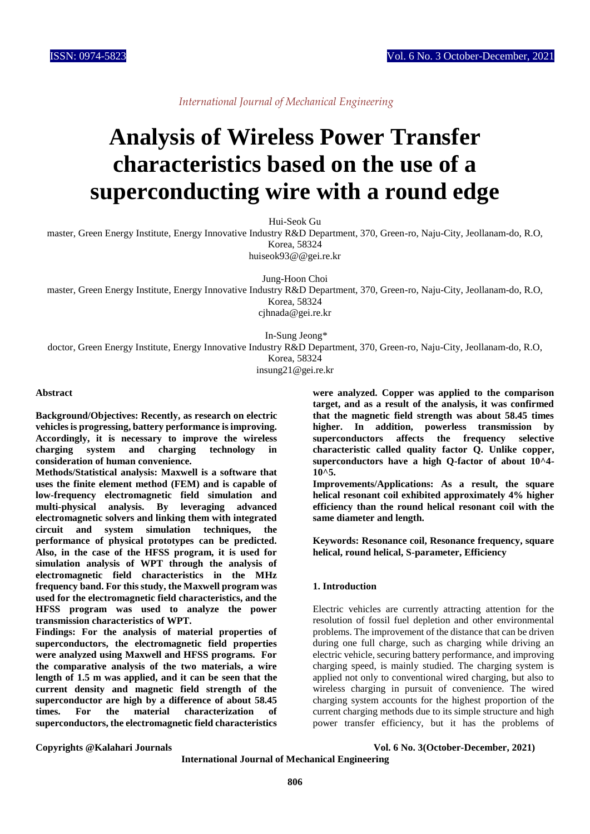*International Journal of Mechanical Engineering*

# **Analysis of Wireless Power Transfer characteristics based on the use of a superconducting wire with a round edge**

Hui-Seok Gu

master, Green Energy Institute, Energy Innovative Industry R&D Department, 370, Green-ro, Naju-City, Jeollanam-do, R.O, Korea, 58324

huiseok93@@gei.re.kr

Jung-Hoon Choi

master, Green Energy Institute, Energy Innovative Industry R&D Department, 370, Green-ro, Naju-City, Jeollanam-do, R.O, Korea, 58324

cjhnada@gei.re.kr

In-Sung Jeong\*

doctor, Green Energy Institute, Energy Innovative Industry R&D Department, 370, Green-ro, Naju-City, Jeollanam-do, R.O, Korea, 58324

insung21@gei.re.kr

#### **Abstract**

**Background/Objectives: Recently, as research on electric vehicles is progressing, battery performance is improving. Accordingly, it is necessary to improve the wireless charging system and charging technology in consideration of human convenience.**

**Methods/Statistical analysis: Maxwell is a software that uses the finite element method (FEM) and is capable of low-frequency electromagnetic field simulation and multi-physical analysis. By leveraging advanced electromagnetic solvers and linking them with integrated circuit and system simulation techniques, the performance of physical prototypes can be predicted. Also, in the case of the HFSS program, it is used for simulation analysis of WPT through the analysis of electromagnetic field characteristics in the MHz frequency band. For this study, the Maxwell program was used for the electromagnetic field characteristics, and the HFSS program was used to analyze the power transmission characteristics of WPT.**

**Findings: For the analysis of material properties of superconductors, the electromagnetic field properties were analyzed using Maxwell and HFSS programs. For the comparative analysis of the two materials, a wire length of 1.5 m was applied, and it can be seen that the current density and magnetic field strength of the superconductor are high by a difference of about 58.45 times. For the material characterization of superconductors, the electromagnetic field characteristics** 

**were analyzed. Copper was applied to the comparison target, and as a result of the analysis, it was confirmed that the magnetic field strength was about 58.45 times higher. In addition, powerless transmission by superconductors affects the frequency selective characteristic called quality factor Q. Unlike copper, superconductors have a high Q-factor of about 10^4- 10^5.**

**Improvements/Applications: As a result, the square helical resonant coil exhibited approximately 4% higher efficiency than the round helical resonant coil with the same diameter and length.**

**Keywords: Resonance coil, Resonance frequency, square helical, round helical, S-parameter, Efficiency**

## **1. Introduction**

Electric vehicles are currently attracting attention for the resolution of fossil fuel depletion and other environmental problems. The improvement of the distance that can be driven during one full charge, such as charging while driving an electric vehicle, securing battery performance, and improving charging speed, is mainly studied. The charging system is applied not only to conventional wired charging, but also to wireless charging in pursuit of convenience. The wired charging system accounts for the highest proportion of the current charging methods due to its simple structure and high power transfer efficiency, but it has the problems of

**Copyrights @Kalahari Journals Vol. 6 No. 3(October-December, 2021)**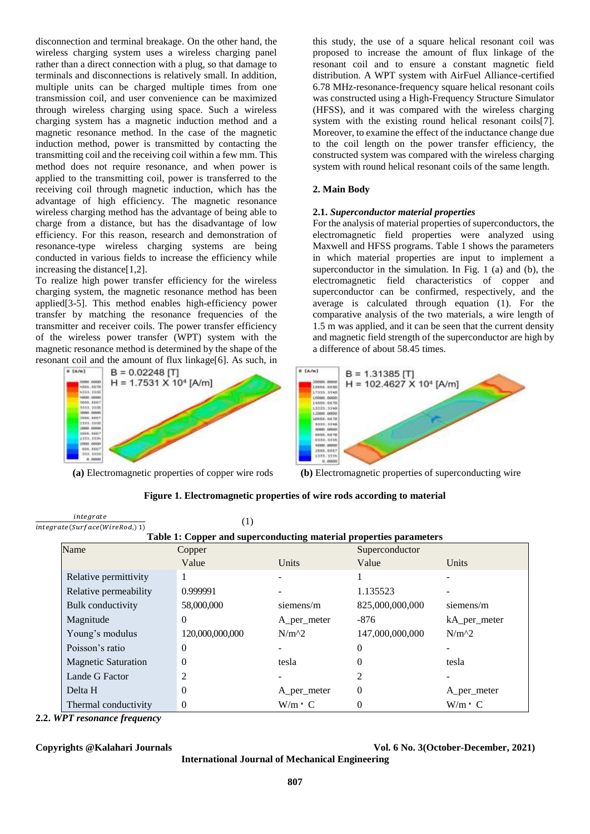disconnection and terminal breakage. On the other hand, the wireless charging system uses a wireless charging panel rather than a direct connection with a plug, so that damage to terminals and disconnections is relatively small. In addition, multiple units can be charged multiple times from one transmission coil, and user convenience can be maximized through wireless charging using space. Such a wireless charging system has a magnetic induction method and a magnetic resonance method. In the case of the magnetic induction method, power is transmitted by contacting the transmitting coil and the receiving coil within a few mm. This method does not require resonance, and when power is applied to the transmitting coil, power is transferred to the receiving coil through magnetic induction, which has the advantage of high efficiency. The magnetic resonance wireless charging method has the advantage of being able to charge from a distance, but has the disadvantage of low efficiency. For this reason, research and demonstration of resonance-type wireless charging systems are being conducted in various fields to increase the efficiency while increasing the distance[1,2].

To realize high power transfer efficiency for the wireless charging system, the magnetic resonance method has been applied[3-5]. This method enables high-efficiency power transfer by matching the resonance frequencies of the transmitter and receiver coils. The power transfer efficiency of the wireless power transfer (WPT) system with the magnetic resonance method is determined by the shape of the



**(a)** Electromagnetic properties of copper wire rods **(b)** Electromagnetic properties of superconducting wire

this study, the use of a square helical resonant coil was proposed to increase the amount of flux linkage of the resonant coil and to ensure a constant magnetic field distribution. A WPT system with AirFuel Alliance-certified 6.78 MHz-resonance-frequency square helical resonant coils was constructed using a High-Frequency Structure Simulator (HFSS), and it was compared with the wireless charging system with the existing round helical resonant coils[7]. Moreover, to examine the effect of the inductance change due to the coil length on the power transfer efficiency, the constructed system was compared with the wireless charging system with round helical resonant coils of the same length.

## **2. Main Body**

### **2.1.** *Superconductor material properties*

For the analysis of material properties of superconductors, the electromagnetic field properties were analyzed using Maxwell and HFSS programs. Table 1 shows the parameters in which material properties are input to implement a superconductor in the simulation. In Fig. 1 (a) and (b), the electromagnetic field characteristics of copper and superconductor can be confirmed, respectively, and the average is calculated through equation (1). For the comparative analysis of the two materials, a wire length of 1.5 m was applied, and it can be seen that the current density and magnetic field strength of the superconductor are high by a difference of about 58.45 times.



| integrate                      | $\left( 1\right)$                                                  |               |                 |               |
|--------------------------------|--------------------------------------------------------------------|---------------|-----------------|---------------|
| integrate(Surface(WireRod,) 1) |                                                                    |               |                 |               |
|                                | Table 1: Copper and superconducting material properties parameters |               |                 |               |
| Name                           | Copper                                                             |               | Superconductor  |               |
|                                | Value                                                              | Units         | Value           | Units         |
| Relative permittivity          | -1                                                                 |               |                 |               |
| Relative permeability          | 0.999991                                                           |               | 1.135523        |               |
| <b>Bulk</b> conductivity       | 58,000,000                                                         | siemens/m     | 825,000,000,000 | siemens/m     |
| Magnitude                      | $\Omega$                                                           | A_per_meter   | $-876$          | kA_per_meter  |
| Young's modulus                | 120,000,000,000                                                    | $N/m^2$       | 147,000,000,000 | $N/m^2$       |
| Poisson's ratio                | $\theta$                                                           |               |                 |               |
| <b>Magnetic Saturation</b>     | $\overline{0}$                                                     | tesla         |                 | tesla         |
| Lande G Factor                 | $\overline{c}$                                                     |               | $\mathfrak{D}$  |               |
| Delta H                        | $\theta$                                                           | A_per_meter   | 0               | A_per_meter   |
| Thermal conductivity           | $\theta$                                                           | $W/m \cdot C$ |                 | $W/m \cdot C$ |

**Figure 1. Electromagnetic properties of wire rods according to material**

**2.2.** *WPT resonance frequency* 

**Copyrights @Kalahari Journals Vol. 6 No. 3(October-December, 2021)**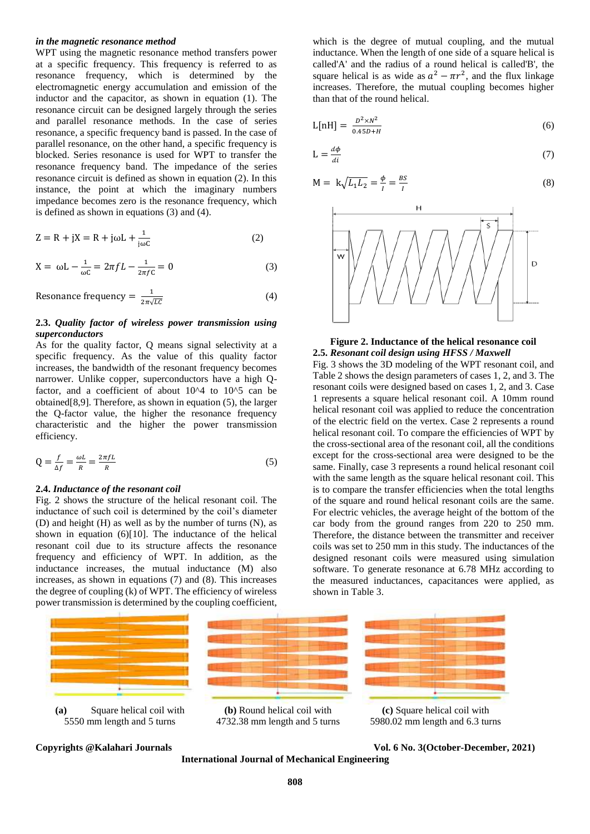#### *in the magnetic resonance method*

WPT using the magnetic resonance method transfers power at a specific frequency. This frequency is referred to as resonance frequency, which is determined by the electromagnetic energy accumulation and emission of the inductor and the capacitor, as shown in equation (1). The resonance circuit can be designed largely through the series and parallel resonance methods. In the case of series resonance, a specific frequency band is passed. In the case of parallel resonance, on the other hand, a specific frequency is blocked. Series resonance is used for WPT to transfer the resonance frequency band. The impedance of the series resonance circuit is defined as shown in equation (2). In this instance, the point at which the imaginary numbers impedance becomes zero is the resonance frequency, which is defined as shown in equations (3) and (4).

$$
Z = R + jX = R + j\omega L + \frac{1}{j\omega C}
$$
 (2)

$$
X = \omega L - \frac{1}{\omega C} = 2\pi f L - \frac{1}{2\pi f C} = 0
$$
 (3)

Resonance frequency = 
$$
\frac{1}{2\pi\sqrt{LC}}
$$
 (4)

#### **2.3.** *Quality factor of wireless power transmission using superconductors*

As for the quality factor, Q means signal selectivity at a specific frequency. As the value of this quality factor increases, the bandwidth of the resonant frequency becomes narrower. Unlike copper, superconductors have a high Qfactor, and a coefficient of about 10^4 to 10^5 can be obtained[8,9]. Therefore, as shown in equation (5), the larger the Q-factor value, the higher the resonance frequency characteristic and the higher the power transmission efficiency.

$$
Q = \frac{f}{\Delta f} = \frac{\omega L}{R} = \frac{2\pi f L}{R}
$$
\n(5)

#### **2.4.** *Inductance of the resonant coil*

Fig. 2 shows the structure of the helical resonant coil. The inductance of such coil is determined by the coil's diameter (D) and height (H) as well as by the number of turns (N), as shown in equation (6)[10]. The inductance of the helical resonant coil due to its structure affects the resonance frequency and efficiency of WPT. In addition, as the inductance increases, the mutual inductance (M) also increases, as shown in equations (7) and (8). This increases the degree of coupling (k) of WPT. The efficiency of wireless power transmission is determined by the coupling coefficient,

which is the degree of mutual coupling, and the mutual inductance. When the length of one side of a square helical is called'A' and the radius of a round helical is called'B', the square helical is as wide as  $a^2 - \pi r^2$ , and the flux linkage increases. Therefore, the mutual coupling becomes higher than that of the round helical.

$$
L[nH] = \frac{D^2 \times N^2}{0.45D + H}
$$
\n<sup>(6)</sup>

$$
L = \frac{d\phi}{di} \tag{7}
$$

$$
M = k\sqrt{L_1 L_2} = \frac{\phi}{I} = \frac{BS}{I}
$$
\n(8)



#### **Figure 2. Inductance of the helical resonance coil 2.5.** *Resonant coil design using HFSS / Maxwell*

Fig. 3 shows the 3D modeling of the WPT resonant coil, and Table 2 shows the design parameters of cases 1, 2, and 3. The resonant coils were designed based on cases 1, 2, and 3. Case 1 represents a square helical resonant coil. A 10mm round helical resonant coil was applied to reduce the concentration of the electric field on the vertex. Case 2 represents a round helical resonant coil. To compare the efficiencies of WPT by the cross-sectional area of the resonant coil, all the conditions except for the cross-sectional area were designed to be the same. Finally, case 3 represents a round helical resonant coil with the same length as the square helical resonant coil. This is to compare the transfer efficiencies when the total lengths of the square and round helical resonant coils are the same. For electric vehicles, the average height of the bottom of the car body from the ground ranges from 220 to 250 mm. Therefore, the distance between the transmitter and receiver coils was set to 250 mm in this study. The inductances of the designed resonant coils were measured using simulation software. To generate resonance at 6.78 MHz according to the measured inductances, capacitances were applied, as shown in Table 3.





**(b)** Round helical coil with 4732.38 mm length and 5 turns



**(c)** Square helical coil with 5980.02 mm length and 6.3 turns

**International Journal of Mechanical Engineering** 

**Copyrights @Kalahari Journals Vol. 6 No. 3(October-December, 2021)**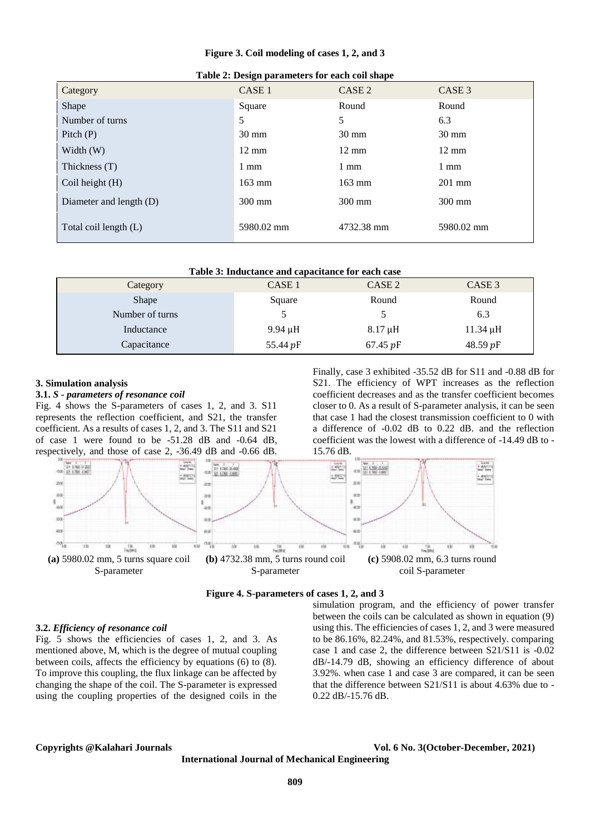**Figure 3. Coil modeling of cases 1, 2, and 3**

| Table 2. Design parameters for each con shape |                   |                   |                  |  |
|-----------------------------------------------|-------------------|-------------------|------------------|--|
| Category                                      | CASE <sub>1</sub> | CASE <sub>2</sub> | CASE 3           |  |
| Shape                                         | Square            | Round             | Round            |  |
| Number of turns                               | 5                 | 5                 | 6.3              |  |
| Pitch $(P)$                                   | $30 \text{ mm}$   | $30 \text{ mm}$   | $30 \text{ mm}$  |  |
| Width $(W)$                                   | $12 \text{ mm}$   | $12 \text{ mm}$   | $12 \text{ mm}$  |  |
| Thickness (T)                                 | $1 \text{ mm}$    | $1 \text{ mm}$    | $1 \text{ mm}$   |  |
| Coil height $(H)$                             | $163 \text{ mm}$  | $163 \text{ mm}$  | $201$ mm         |  |
| Diameter and length (D)                       | $300 \text{ mm}$  | $300 \text{ mm}$  | $300 \text{ mm}$ |  |
| Total coil length (L)                         | 5980.02 mm        | 4732.38 mm        | 5980.02 mm       |  |

| Table 2: Design parameters for each coil shape |  |
|------------------------------------------------|--|
|------------------------------------------------|--|

| Table 3: Inductance and capacitance for each case |  |  |  |
|---------------------------------------------------|--|--|--|
|---------------------------------------------------|--|--|--|

| Category        | CASE <sub>1</sub> | CASE 2       | CASE 3        |
|-----------------|-------------------|--------------|---------------|
| Shape           | Square            | Round        | Round         |
| Number of turns |                   |              | 6.3           |
| Inductance      | $9.94 \mu H$      | $8.17 \mu H$ | $11.34 \mu H$ |
| Capacitance     | 55.44 pF          | 67.45 $pF$   | 48.59 $pF$    |

15.76 dB.

#### **3. Simulation analysis**

### **3.1.** *S - parameters of resonance coil*

Fig. 4 shows the S-parameters of cases 1, 2, and 3. S11 represents the reflection coefficient, and S21, the transfer coefficient. As a results of cases 1, 2, and 3. The S11 and S21 of case 1 were found to be -51.28 dB and -0.64 dB, respectively, and those of case 2, -36.49 dB and -0.66 dB.



**Figure 4. S-parameters of cases 1, 2, and 3**

#### **3.2.** *Efficiency of resonance coil*

Fig. 5 shows the efficiencies of cases 1, 2, and 3. As mentioned above, M, which is the degree of mutual coupling between coils, affects the efficiency by equations (6) to (8). To improve this coupling, the flux linkage can be affected by changing the shape of the coil. The S-parameter is expressed using the coupling properties of the designed coils in the simulation program, and the efficiency of power transfer between the coils can be calculated as shown in equation (9) using this. The efficiencies of cases 1, 2, and 3 were measured to be 86.16%, 82.24%, and 81.53%, respectively. comparing case 1 and case 2, the difference between S21/S11 is -0.02 dB/-14.79 dB, showing an efficiency difference of about 3.92%. when case 1 and case 3 are compared, it can be seen that the difference between S21/S11 is about 4.63% due to - 0.22 dB/-15.76 dB.

Finally, case 3 exhibited -35.52 dB for S11 and -0.88 dB for S21. The efficiency of WPT increases as the reflection coefficient decreases and as the transfer coefficient becomes closer to 0. As a result of S-parameter analysis, it can be seen that case 1 had the closest transmission coefficient to 0 with a difference of -0.02 dB to 0.22 dB. and the reflection coefficient was the lowest with a difference of -14.49 dB to -

#### **Copyrights @Kalahari Journals Vol. 6 No. 3(October-December, 2021)**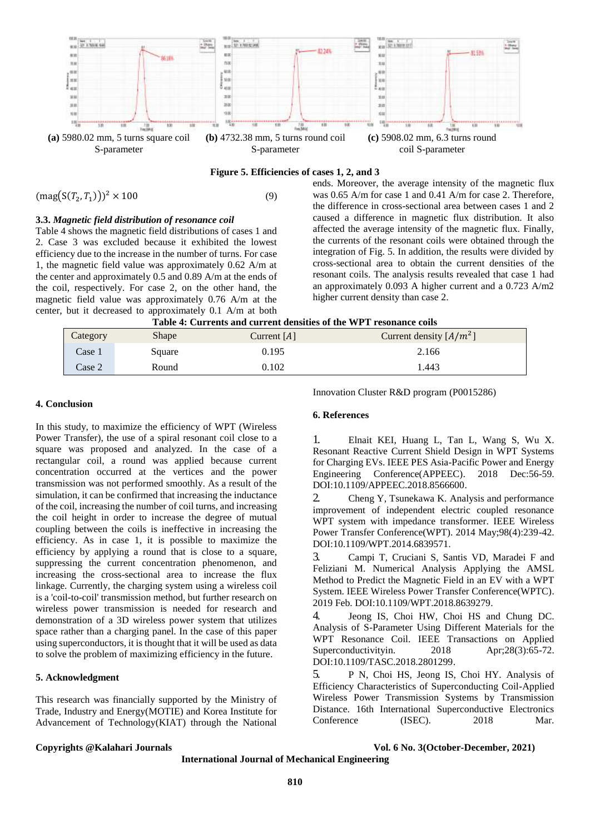

**Figure 5. Efficiencies of cases 1, 2, and 3**

 $(\text{mag}(S(T_2, T_1)))^2 \times 100$  (9)

#### **3.3.** *Magnetic field distribution of resonance coil*

Table 4 shows the magnetic field distributions of cases 1 and 2. Case 3 was excluded because it exhibited the lowest efficiency due to the increase in the number of turns. For case 1, the magnetic field value was approximately 0.62 A/m at the center and approximately 0.5 and 0.89 A/m at the ends of the coil, respectively. For case 2, on the other hand, the magnetic field value was approximately 0.76 A/m at the center, but it decreased to approximately 0.1 A/m at both

### ends. Moreover, the average intensity of the magnetic flux was 0.65 A/m for case 1 and 0.41 A/m for case 2. Therefore, the difference in cross-sectional area between cases 1 and 2 caused a difference in magnetic flux distribution. It also affected the average intensity of the magnetic flux. Finally, the currents of the resonant coils were obtained through the integration of Fig. 5. In addition, the results were divided by cross-sectional area to obtain the current densities of the resonant coils. The analysis results revealed that case 1 had an approximately 0.093 A higher current and a 0.723 A/m2 higher current density than case 2.

| - - |  | Table 4: Currents and current densities of the WPT resonance coils |
|-----|--|--------------------------------------------------------------------|
|     |  |                                                                    |

| Category | Shape  | Current $[A]$ | Current density $[A/m^2]$ |
|----------|--------|---------------|---------------------------|
| Case 1   | Square | 0.195         | 2.166                     |
| Case 2   | Round  | 0.102         | 1.443                     |

#### **4. Conclusion**

In this study, to maximize the efficiency of WPT (Wireless Power Transfer), the use of a spiral resonant coil close to a square was proposed and analyzed. In the case of a rectangular coil, a round was applied because current concentration occurred at the vertices and the power transmission was not performed smoothly. As a result of the simulation, it can be confirmed that increasing the inductance of the coil, increasing the number of coil turns, and increasing the coil height in order to increase the degree of mutual coupling between the coils is ineffective in increasing the efficiency. As in case 1, it is possible to maximize the efficiency by applying a round that is close to a square, suppressing the current concentration phenomenon, and increasing the cross-sectional area to increase the flux linkage. Currently, the charging system using a wireless coil is a 'coil-to-coil' transmission method, but further research on wireless power transmission is needed for research and demonstration of a 3D wireless power system that utilizes space rather than a charging panel. In the case of this paper using superconductors, it is thought that it will be used as data to solve the problem of maximizing efficiency in the future.

## **5. Acknowledgment**

This research was financially supported by the Ministry of Trade, Industry and Energy(MOTIE) and Korea Institute for Advancement of Technology(KIAT) through the National Innovation Cluster R&D program (P0015286)

#### **6. References**

1. Elnait KEI, Huang L, Tan L, Wang S, Wu X. Resonant Reactive Current Shield Design in WPT Systems for Charging EVs. IEEE PES Asia-Pacific Power and Energy Engineering Conference(APPEEC). 2018 Dec:56-59. DOI[:10.1109/APPEEC.2018.8566600.](https://doi.org/10.1109/APPEEC.2018.8566600)

2. [Cheng Y,](https://ieeexplore.ieee.org/author/37085419957) Tsunekawa K. Analysis and performance improvement of independent electric coupled resonance WPT system with impedance transformer. IEEE Wireless Power Transfer Conference(WPT). 2014 May;98(4):239-42. DOI:10.1109/WPT.2014.6839571.

3. Campi T, Cruciani S, Santis VD, Maradei F and Feliziani M. [Numerical Analysis Applying the AMSL](https://ieeexplore.ieee.org/document/8639279/)  [Method to Predict the Magnetic Field in an EV with a WPT](https://ieeexplore.ieee.org/document/8639279/)  [System.](https://ieeexplore.ieee.org/document/8639279/) IEEE Wireless Power Transfer Conference(WPTC). 2019 Feb. DOI[:10.1109/WPT.2018.8639279.](https://doi.org/10.1109/WPT.2018.8639279)

4. [Jeong](https://ieeexplore.ieee.org/author/37085646689) IS, Choi HW, Choi HS and Chung DC. Analysis of S-Parameter Using Different Materials for the WPT Resonance Coil. [IEEE Transactions on Applied](https://ieeexplore.ieee.org/xpl/RecentIssue.jsp?punumber=77)  [Superconductivityi](https://ieeexplore.ieee.org/xpl/RecentIssue.jsp?punumber=77)n. 2018 Apr;28(3):65-72. DOI[:10.1109/TASC.2018.2801299.](https://doi.org/10.1109/TASC.2018.2801299)

5. P N, Choi HS, Jeong IS, Choi HY. Analysis of Efficiency Characteristics of Superconducting Coil-Applied Wireless Power Transmission Systems by Transmission Distance. 16th International Superconductive Electronics Conference (ISEC). 2018 Mar.

**Copyrights @Kalahari Journals Vol. 6 No. 3(October-December, 2021)**